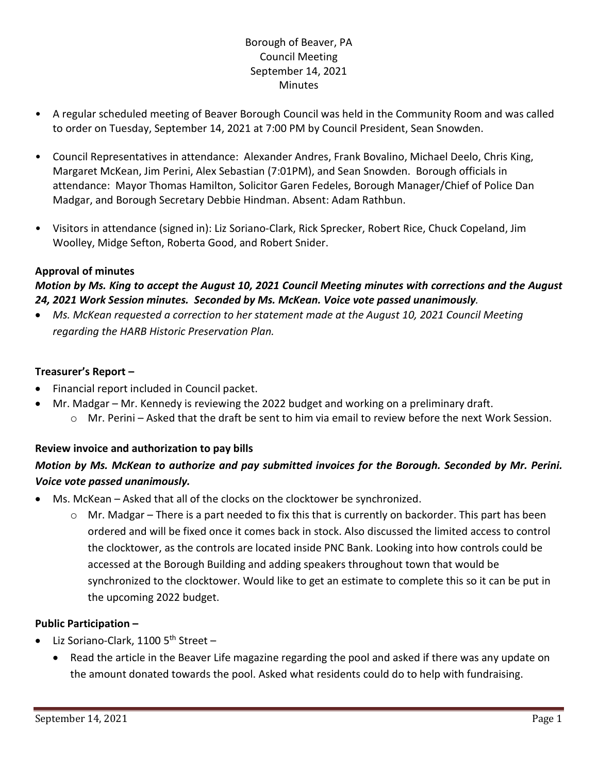## Borough of Beaver, PA Council Meeting September 14, 2021 **Minutes**

- A regular scheduled meeting of Beaver Borough Council was held in the Community Room and was called to order on Tuesday, September 14, 2021 at 7:00 PM by Council President, Sean Snowden.
- Council Representatives in attendance: Alexander Andres, Frank Bovalino, Michael Deelo, Chris King, Margaret McKean, Jim Perini, Alex Sebastian (7:01PM), and Sean Snowden. Borough officials in attendance: Mayor Thomas Hamilton, Solicitor Garen Fedeles, Borough Manager/Chief of Police Dan Madgar, and Borough Secretary Debbie Hindman. Absent: Adam Rathbun.
- Visitors in attendance (signed in): Liz Soriano-Clark, Rick Sprecker, Robert Rice, Chuck Copeland, Jim Woolley, Midge Sefton, Roberta Good, and Robert Snider.

## **Approval of minutes**

## *Motion by Ms. King to accept the August 10, 2021 Council Meeting minutes with corrections and the August 24, 2021 Work Session minutes. Seconded by Ms. McKean. Voice vote passed unanimously.*

• *Ms. McKean requested a correction to her statement made at the August 10, 2021 Council Meeting regarding the HARB Historic Preservation Plan.*

## **Treasurer's Report –**

- Financial report included in Council packet.
- Mr. Madgar Mr. Kennedy is reviewing the 2022 budget and working on a preliminary draft. o Mr. Perini – Asked that the draft be sent to him via email to review before the next Work Session.

# **Review invoice and authorization to pay bills**

# *Motion by Ms. McKean to authorize and pay submitted invoices for the Borough. Seconded by Mr. Perini. Voice vote passed unanimously.*

- Ms. McKean Asked that all of the clocks on the clocktower be synchronized.
	- o Mr. Madgar There is a part needed to fix this that is currently on backorder. This part has been ordered and will be fixed once it comes back in stock. Also discussed the limited access to control the clocktower, as the controls are located inside PNC Bank. Looking into how controls could be accessed at the Borough Building and adding speakers throughout town that would be synchronized to the clocktower. Would like to get an estimate to complete this so it can be put in the upcoming 2022 budget.

## **Public Participation –**

- Liz Soriano-Clark, 1100  $5<sup>th</sup>$  Street
	- Read the article in the Beaver Life magazine regarding the pool and asked if there was any update on the amount donated towards the pool. Asked what residents could do to help with fundraising.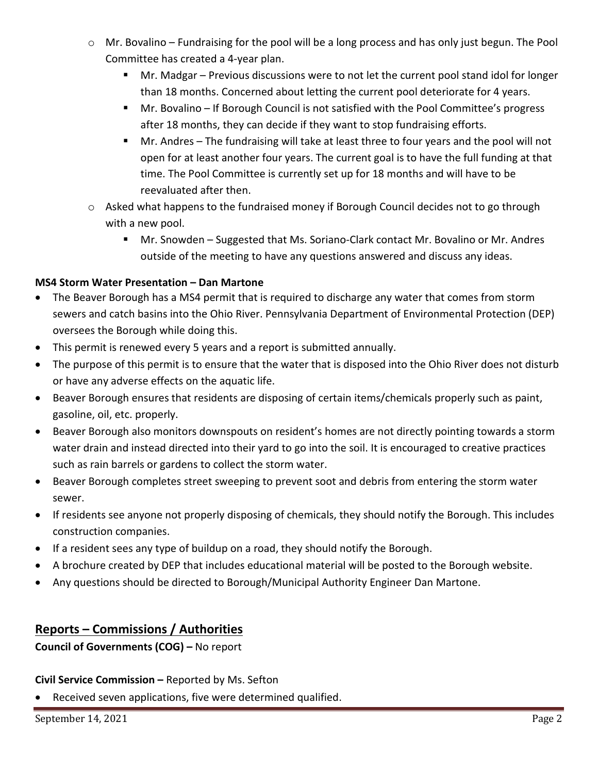- o Mr. Bovalino Fundraising for the pool will be a long process and has only just begun. The Pool Committee has created a 4-year plan.
	- Mr. Madgar Previous discussions were to not let the current pool stand idol for longer than 18 months. Concerned about letting the current pool deteriorate for 4 years.
	- Mr. Bovalino If Borough Council is not satisfied with the Pool Committee's progress after 18 months, they can decide if they want to stop fundraising efforts.
	- Mr. Andres The fundraising will take at least three to four years and the pool will not open for at least another four years. The current goal is to have the full funding at that time. The Pool Committee is currently set up for 18 months and will have to be reevaluated after then.
- $\circ$  Asked what happens to the fundraised money if Borough Council decides not to go through with a new pool.
	- Mr. Snowden Suggested that Ms. Soriano-Clark contact Mr. Bovalino or Mr. Andres outside of the meeting to have any questions answered and discuss any ideas.

## **MS4 Storm Water Presentation – Dan Martone**

- The Beaver Borough has a MS4 permit that is required to discharge any water that comes from storm sewers and catch basins into the Ohio River. Pennsylvania Department of Environmental Protection (DEP) oversees the Borough while doing this.
- This permit is renewed every 5 years and a report is submitted annually.
- The purpose of this permit is to ensure that the water that is disposed into the Ohio River does not disturb or have any adverse effects on the aquatic life.
- Beaver Borough ensures that residents are disposing of certain items/chemicals properly such as paint, gasoline, oil, etc. properly.
- Beaver Borough also monitors downspouts on resident's homes are not directly pointing towards a storm water drain and instead directed into their yard to go into the soil. It is encouraged to creative practices such as rain barrels or gardens to collect the storm water.
- Beaver Borough completes street sweeping to prevent soot and debris from entering the storm water sewer.
- If residents see anyone not properly disposing of chemicals, they should notify the Borough. This includes construction companies.
- If a resident sees any type of buildup on a road, they should notify the Borough.
- A brochure created by DEP that includes educational material will be posted to the Borough website.
- Any questions should be directed to Borough/Municipal Authority Engineer Dan Martone.

# **Reports – Commissions / Authorities**

**Council of Governments (COG) –** No report

## **Civil Service Commission –** Reported by Ms. Sefton

• Received seven applications, five were determined qualified.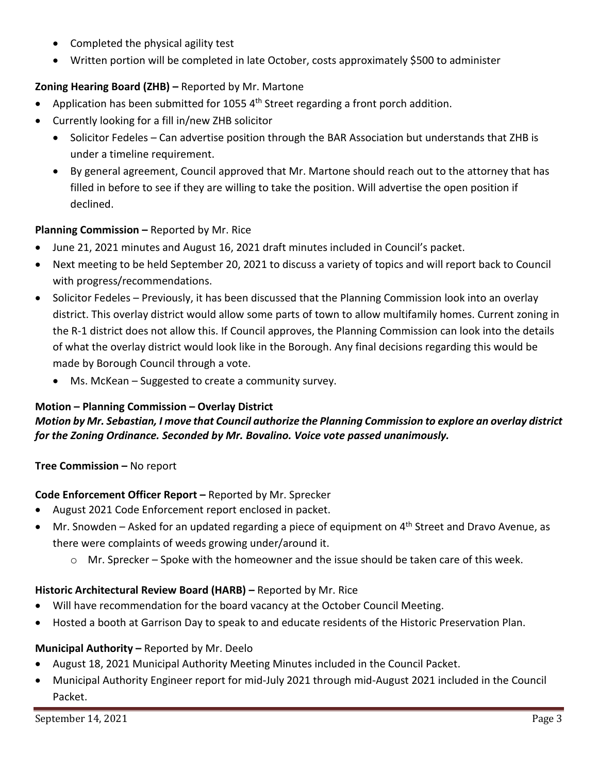- Completed the physical agility test
- Written portion will be completed in late October, costs approximately \$500 to administer

## **Zoning Hearing Board (ZHB) –** Reported by Mr. Martone

- Application has been submitted for 1055  $4<sup>th</sup>$  Street regarding a front porch addition.
- Currently looking for a fill in/new ZHB solicitor
	- Solicitor Fedeles Can advertise position through the BAR Association but understands that ZHB is under a timeline requirement.
	- By general agreement, Council approved that Mr. Martone should reach out to the attorney that has filled in before to see if they are willing to take the position. Will advertise the open position if declined.

## **Planning Commission –** Reported by Mr. Rice

- June 21, 2021 minutes and August 16, 2021 draft minutes included in Council's packet.
- Next meeting to be held September 20, 2021 to discuss a variety of topics and will report back to Council with progress/recommendations.
- Solicitor Fedeles Previously, it has been discussed that the Planning Commission look into an overlay district. This overlay district would allow some parts of town to allow multifamily homes. Current zoning in the R-1 district does not allow this. If Council approves, the Planning Commission can look into the details of what the overlay district would look like in the Borough. Any final decisions regarding this would be made by Borough Council through a vote.
	- Ms. McKean Suggested to create a community survey.

## **Motion – Planning Commission – Overlay District**

## *Motion by Mr. Sebastian, I move that Council authorize the Planning Commission to explore an overlay district for the Zoning Ordinance. Seconded by Mr. Bovalino. Voice vote passed unanimously.*

**Tree Commission –** No report

## **Code Enforcement Officer Report –** Reported by Mr. Sprecker

- August 2021 Code Enforcement report enclosed in packet.
- Mr. Snowden Asked for an updated regarding a piece of equipment on  $4<sup>th</sup>$  Street and Dravo Avenue, as there were complaints of weeds growing under/around it.
	- $\circ$  Mr. Sprecker Spoke with the homeowner and the issue should be taken care of this week.

## **Historic Architectural Review Board (HARB) –** Reported by Mr. Rice

- Will have recommendation for the board vacancy at the October Council Meeting.
- Hosted a booth at Garrison Day to speak to and educate residents of the Historic Preservation Plan.

## **Municipal Authority –** Reported by Mr. Deelo

- August 18, 2021 Municipal Authority Meeting Minutes included in the Council Packet.
- Municipal Authority Engineer report for mid-July 2021 through mid-August 2021 included in the Council Packet.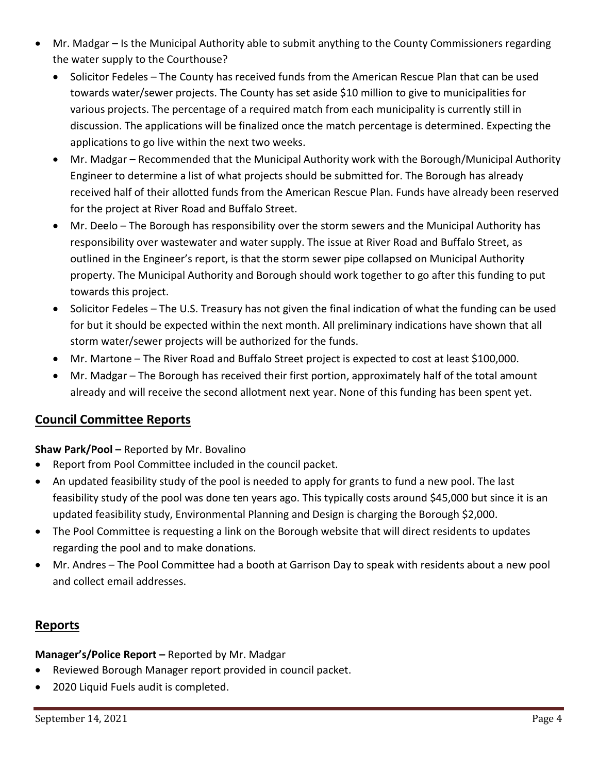- Mr. Madgar Is the Municipal Authority able to submit anything to the County Commissioners regarding the water supply to the Courthouse?
	- Solicitor Fedeles The County has received funds from the American Rescue Plan that can be used towards water/sewer projects. The County has set aside \$10 million to give to municipalities for various projects. The percentage of a required match from each municipality is currently still in discussion. The applications will be finalized once the match percentage is determined. Expecting the applications to go live within the next two weeks.
	- Mr. Madgar Recommended that the Municipal Authority work with the Borough/Municipal Authority Engineer to determine a list of what projects should be submitted for. The Borough has already received half of their allotted funds from the American Rescue Plan. Funds have already been reserved for the project at River Road and Buffalo Street.
	- Mr. Deelo The Borough has responsibility over the storm sewers and the Municipal Authority has responsibility over wastewater and water supply. The issue at River Road and Buffalo Street, as outlined in the Engineer's report, is that the storm sewer pipe collapsed on Municipal Authority property. The Municipal Authority and Borough should work together to go after this funding to put towards this project.
	- Solicitor Fedeles The U.S. Treasury has not given the final indication of what the funding can be used for but it should be expected within the next month. All preliminary indications have shown that all storm water/sewer projects will be authorized for the funds.
	- Mr. Martone The River Road and Buffalo Street project is expected to cost at least \$100,000.
	- Mr. Madgar The Borough has received their first portion, approximately half of the total amount already and will receive the second allotment next year. None of this funding has been spent yet.

# **Council Committee Reports**

**Shaw Park/Pool –** Reported by Mr. Bovalino

- Report from Pool Committee included in the council packet.
- An updated feasibility study of the pool is needed to apply for grants to fund a new pool. The last feasibility study of the pool was done ten years ago. This typically costs around \$45,000 but since it is an updated feasibility study, Environmental Planning and Design is charging the Borough \$2,000.
- The Pool Committee is requesting a link on the Borough website that will direct residents to updates regarding the pool and to make donations.
- Mr. Andres The Pool Committee had a booth at Garrison Day to speak with residents about a new pool and collect email addresses.

## **Reports**

**Manager's/Police Report –** Reported by Mr. Madgar

- Reviewed Borough Manager report provided in council packet.
- 2020 Liquid Fuels audit is completed.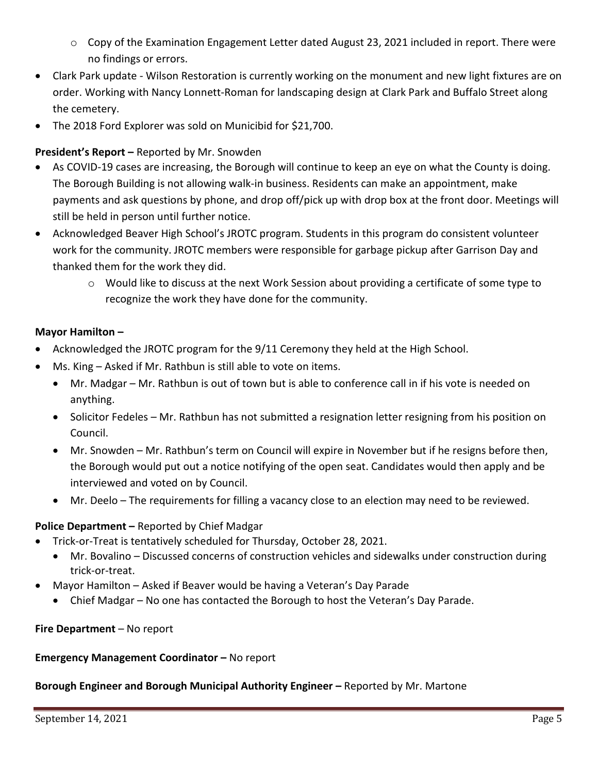- o Copy of the Examination Engagement Letter dated August 23, 2021 included in report. There were no findings or errors.
- Clark Park update Wilson Restoration is currently working on the monument and new light fixtures are on order. Working with Nancy Lonnett-Roman for landscaping design at Clark Park and Buffalo Street along the cemetery.
- The 2018 Ford Explorer was sold on Municibid for \$21,700.

## **President's Report –** Reported by Mr. Snowden

- As COVID-19 cases are increasing, the Borough will continue to keep an eye on what the County is doing. The Borough Building is not allowing walk-in business. Residents can make an appointment, make payments and ask questions by phone, and drop off/pick up with drop box at the front door. Meetings will still be held in person until further notice.
- Acknowledged Beaver High School's JROTC program. Students in this program do consistent volunteer work for the community. JROTC members were responsible for garbage pickup after Garrison Day and thanked them for the work they did.
	- o Would like to discuss at the next Work Session about providing a certificate of some type to recognize the work they have done for the community.

## **Mayor Hamilton –**

- Acknowledged the JROTC program for the 9/11 Ceremony they held at the High School.
- Ms. King Asked if Mr. Rathbun is still able to vote on items.
	- Mr. Madgar Mr. Rathbun is out of town but is able to conference call in if his vote is needed on anything.
	- Solicitor Fedeles Mr. Rathbun has not submitted a resignation letter resigning from his position on Council.
	- Mr. Snowden Mr. Rathbun's term on Council will expire in November but if he resigns before then, the Borough would put out a notice notifying of the open seat. Candidates would then apply and be interviewed and voted on by Council.
	- Mr. Deelo The requirements for filling a vacancy close to an election may need to be reviewed.

## **Police Department –** Reported by Chief Madgar

- Trick-or-Treat is tentatively scheduled for Thursday, October 28, 2021.
	- Mr. Bovalino Discussed concerns of construction vehicles and sidewalks under construction during trick-or-treat.
- Mayor Hamilton Asked if Beaver would be having a Veteran's Day Parade
	- Chief Madgar No one has contacted the Borough to host the Veteran's Day Parade.

## **Fire Department** – No report

## **Emergency Management Coordinator –** No report

## **Borough Engineer and Borough Municipal Authority Engineer –** Reported by Mr. Martone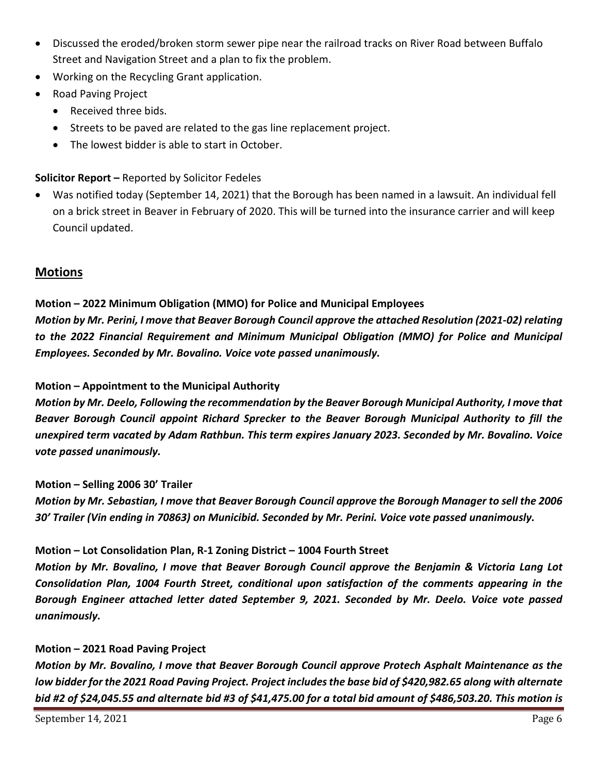- Discussed the eroded/broken storm sewer pipe near the railroad tracks on River Road between Buffalo Street and Navigation Street and a plan to fix the problem.
- Working on the Recycling Grant application.
- Road Paving Project
	- Received three bids.
	- Streets to be paved are related to the gas line replacement project.
	- The lowest bidder is able to start in October.

## **Solicitor Report –** Reported by Solicitor Fedeles

• Was notified today (September 14, 2021) that the Borough has been named in a lawsuit. An individual fell on a brick street in Beaver in February of 2020. This will be turned into the insurance carrier and will keep Council updated.

## **Motions**

## **Motion – 2022 Minimum Obligation (MMO) for Police and Municipal Employees** *Motion by Mr. Perini, I move that Beaver Borough Council approve the attached Resolution (2021-02) relating to the 2022 Financial Requirement and Minimum Municipal Obligation (MMO) for Police and Municipal Employees. Seconded by Mr. Bovalino. Voice vote passed unanimously.*

#### **Motion – Appointment to the Municipal Authority**

*Motion by Mr. Deelo, Following the recommendation by the Beaver Borough Municipal Authority, I move that Beaver Borough Council appoint Richard Sprecker to the Beaver Borough Municipal Authority to fill the unexpired term vacated by Adam Rathbun. This term expires January 2023. Seconded by Mr. Bovalino. Voice vote passed unanimously.*

#### **Motion – Selling 2006 30' Trailer**

*Motion by Mr. Sebastian, I move that Beaver Borough Council approve the Borough Manager to sell the 2006 30' Trailer (Vin ending in 70863) on Municibid. Seconded by Mr. Perini. Voice vote passed unanimously.*

## **Motion – Lot Consolidation Plan, R-1 Zoning District – 1004 Fourth Street**

*Motion by Mr. Bovalino, I move that Beaver Borough Council approve the Benjamin & Victoria Lang Lot Consolidation Plan, 1004 Fourth Street, conditional upon satisfaction of the comments appearing in the Borough Engineer attached letter dated September 9, 2021. Seconded by Mr. Deelo. Voice vote passed unanimously.*

#### **Motion – 2021 Road Paving Project**

*Motion by Mr. Bovalino, I move that Beaver Borough Council approve Protech Asphalt Maintenance as the low bidder for the 2021 Road Paving Project. Project includes the base bid of \$420,982.65 along with alternate bid #2 of \$24,045.55 and alternate bid #3 of \$41,475.00 for a total bid amount of \$486,503.20. This motion is*